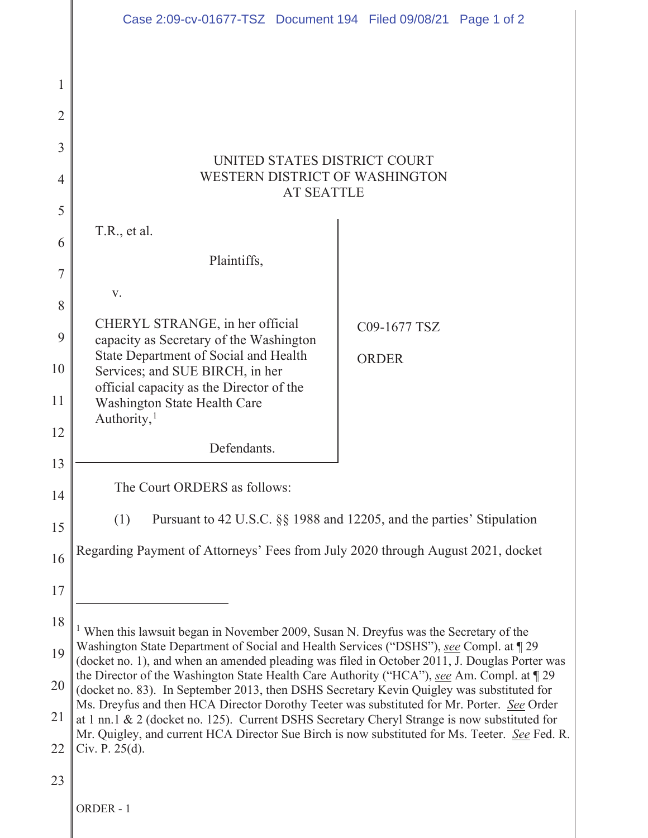|    | Case 2:09-cv-01677-TSZ Document 194 Filed 09/08/21 Page 1 of 2                                                                                                                                                                                                                                                                                                                                                                                                                                                                                                                                                                                                                                                                                                                       |              |  |  |  |
|----|--------------------------------------------------------------------------------------------------------------------------------------------------------------------------------------------------------------------------------------------------------------------------------------------------------------------------------------------------------------------------------------------------------------------------------------------------------------------------------------------------------------------------------------------------------------------------------------------------------------------------------------------------------------------------------------------------------------------------------------------------------------------------------------|--------------|--|--|--|
| 1  |                                                                                                                                                                                                                                                                                                                                                                                                                                                                                                                                                                                                                                                                                                                                                                                      |              |  |  |  |
| 2  |                                                                                                                                                                                                                                                                                                                                                                                                                                                                                                                                                                                                                                                                                                                                                                                      |              |  |  |  |
| 3  | UNITED STATES DISTRICT COURT                                                                                                                                                                                                                                                                                                                                                                                                                                                                                                                                                                                                                                                                                                                                                         |              |  |  |  |
| 4  | WESTERN DISTRICT OF WASHINGTON<br><b>AT SEATTLE</b>                                                                                                                                                                                                                                                                                                                                                                                                                                                                                                                                                                                                                                                                                                                                  |              |  |  |  |
| 5  |                                                                                                                                                                                                                                                                                                                                                                                                                                                                                                                                                                                                                                                                                                                                                                                      |              |  |  |  |
| 6  | T.R., et al.                                                                                                                                                                                                                                                                                                                                                                                                                                                                                                                                                                                                                                                                                                                                                                         |              |  |  |  |
| 7  | Plaintiffs,                                                                                                                                                                                                                                                                                                                                                                                                                                                                                                                                                                                                                                                                                                                                                                          |              |  |  |  |
| 8  | V.                                                                                                                                                                                                                                                                                                                                                                                                                                                                                                                                                                                                                                                                                                                                                                                   |              |  |  |  |
| 9  | CHERYL STRANGE, in her official<br>capacity as Secretary of the Washington                                                                                                                                                                                                                                                                                                                                                                                                                                                                                                                                                                                                                                                                                                           | C09-1677 TSZ |  |  |  |
| 10 | State Department of Social and Health                                                                                                                                                                                                                                                                                                                                                                                                                                                                                                                                                                                                                                                                                                                                                | <b>ORDER</b> |  |  |  |
|    | Services; and SUE BIRCH, in her<br>official capacity as the Director of the                                                                                                                                                                                                                                                                                                                                                                                                                                                                                                                                                                                                                                                                                                          |              |  |  |  |
| 11 | Washington State Health Care<br>Authority, $1$                                                                                                                                                                                                                                                                                                                                                                                                                                                                                                                                                                                                                                                                                                                                       |              |  |  |  |
| 12 | Defendants.                                                                                                                                                                                                                                                                                                                                                                                                                                                                                                                                                                                                                                                                                                                                                                          |              |  |  |  |
| 13 |                                                                                                                                                                                                                                                                                                                                                                                                                                                                                                                                                                                                                                                                                                                                                                                      |              |  |  |  |
| 14 | The Court ORDERS as follows:                                                                                                                                                                                                                                                                                                                                                                                                                                                                                                                                                                                                                                                                                                                                                         |              |  |  |  |
| 15 | Pursuant to 42 U.S.C. §§ 1988 and 12205, and the parties' Stipulation<br>(1)                                                                                                                                                                                                                                                                                                                                                                                                                                                                                                                                                                                                                                                                                                         |              |  |  |  |
| 16 | Regarding Payment of Attorneys' Fees from July 2020 through August 2021, docket                                                                                                                                                                                                                                                                                                                                                                                                                                                                                                                                                                                                                                                                                                      |              |  |  |  |
| 17 |                                                                                                                                                                                                                                                                                                                                                                                                                                                                                                                                                                                                                                                                                                                                                                                      |              |  |  |  |
| 18 |                                                                                                                                                                                                                                                                                                                                                                                                                                                                                                                                                                                                                                                                                                                                                                                      |              |  |  |  |
| 19 | <sup>1</sup> When this lawsuit began in November 2009, Susan N. Dreyfus was the Secretary of the<br>Washington State Department of Social and Health Services ("DSHS"), see Compl. at 129<br>(docket no. 1), and when an amended pleading was filed in October 2011, J. Douglas Porter was<br>the Director of the Washington State Health Care Authority ("HCA"), see Am. Compl. at 129<br>(docket no. 83). In September 2013, then DSHS Secretary Kevin Quigley was substituted for<br>Ms. Dreyfus and then HCA Director Dorothy Teeter was substituted for Mr. Porter. See Order<br>at 1 nn.1 & 2 (docket no. 125). Current DSHS Secretary Cheryl Strange is now substituted for<br>Mr. Quigley, and current HCA Director Sue Birch is now substituted for Ms. Teeter. See Fed. R. |              |  |  |  |
| 20 |                                                                                                                                                                                                                                                                                                                                                                                                                                                                                                                                                                                                                                                                                                                                                                                      |              |  |  |  |
|    |                                                                                                                                                                                                                                                                                                                                                                                                                                                                                                                                                                                                                                                                                                                                                                                      |              |  |  |  |
| 21 |                                                                                                                                                                                                                                                                                                                                                                                                                                                                                                                                                                                                                                                                                                                                                                                      |              |  |  |  |
| 22 | Civ. P. 25(d).                                                                                                                                                                                                                                                                                                                                                                                                                                                                                                                                                                                                                                                                                                                                                                       |              |  |  |  |
| 23 |                                                                                                                                                                                                                                                                                                                                                                                                                                                                                                                                                                                                                                                                                                                                                                                      |              |  |  |  |
|    | ORDER - 1                                                                                                                                                                                                                                                                                                                                                                                                                                                                                                                                                                                                                                                                                                                                                                            |              |  |  |  |